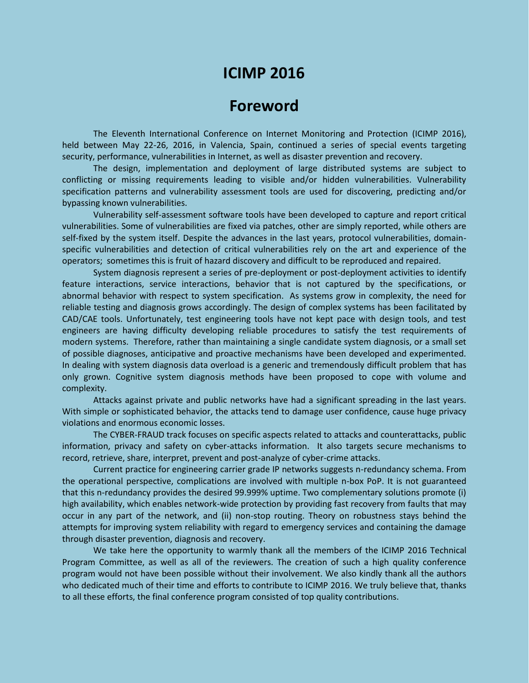# **ICIMP 2016**

## **Foreword**

The Eleventh International Conference on Internet Monitoring and Protection (ICIMP 2016), held between May 22-26, 2016, in Valencia, Spain, continued a series of special events targeting security, performance, vulnerabilities in Internet, as well as disaster prevention and recovery.

The design, implementation and deployment of large distributed systems are subject to conflicting or missing requirements leading to visible and/or hidden vulnerabilities. Vulnerability specification patterns and vulnerability assessment tools are used for discovering, predicting and/or bypassing known vulnerabilities.

Vulnerability self-assessment software tools have been developed to capture and report critical vulnerabilities. Some of vulnerabilities are fixed via patches, other are simply reported, while others are self-fixed by the system itself. Despite the advances in the last years, protocol vulnerabilities, domainspecific vulnerabilities and detection of critical vulnerabilities rely on the art and experience of the operators; sometimes this is fruit of hazard discovery and difficult to be reproduced and repaired.

System diagnosis represent a series of pre-deployment or post-deployment activities to identify feature interactions, service interactions, behavior that is not captured by the specifications, or abnormal behavior with respect to system specification. As systems grow in complexity, the need for reliable testing and diagnosis grows accordingly. The design of complex systems has been facilitated by CAD/CAE tools. Unfortunately, test engineering tools have not kept pace with design tools, and test engineers are having difficulty developing reliable procedures to satisfy the test requirements of modern systems. Therefore, rather than maintaining a single candidate system diagnosis, or a small set of possible diagnoses, anticipative and proactive mechanisms have been developed and experimented. In dealing with system diagnosis data overload is a generic and tremendously difficult problem that has only grown. Cognitive system diagnosis methods have been proposed to cope with volume and complexity.

Attacks against private and public networks have had a significant spreading in the last years. With simple or sophisticated behavior, the attacks tend to damage user confidence, cause huge privacy violations and enormous economic losses.

The CYBER-FRAUD track focuses on specific aspects related to attacks and counterattacks, public information, privacy and safety on cyber-attacks information. It also targets secure mechanisms to record, retrieve, share, interpret, prevent and post-analyze of cyber-crime attacks.

Current practice for engineering carrier grade IP networks suggests n-redundancy schema. From the operational perspective, complications are involved with multiple n-box PoP. It is not guaranteed that this n-redundancy provides the desired 99.999% uptime. Two complementary solutions promote (i) high availability, which enables network-wide protection by providing fast recovery from faults that may occur in any part of the network, and (ii) non-stop routing. Theory on robustness stays behind the attempts for improving system reliability with regard to emergency services and containing the damage through disaster prevention, diagnosis and recovery.

We take here the opportunity to warmly thank all the members of the ICIMP 2016 Technical Program Committee, as well as all of the reviewers. The creation of such a high quality conference program would not have been possible without their involvement. We also kindly thank all the authors who dedicated much of their time and efforts to contribute to ICIMP 2016. We truly believe that, thanks to all these efforts, the final conference program consisted of top quality contributions.